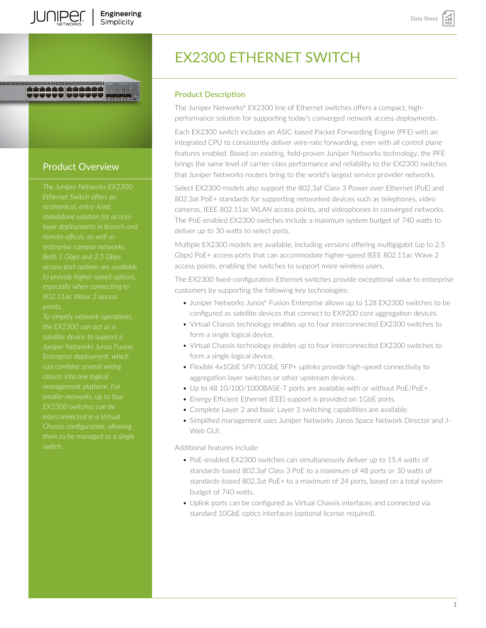# <u>TUTTU (TTTT)</u>

# Product Overview

*The Juniper Networks EX2300 economical, entry-level, standalone solution for accessremote offices, as well as Both 1 Gbps and 2.5 Gbps access port options are available to provide higher-speed options, especially when connecting to*

*the EX2300 can act as a Juniper Networks Junos Fusion closets into one logical smaller networks, up to four EX2300 switches can be interconnected in a Virtual Chassis configuration, allowing switch.*

# EX2300 ETHERNET SWITCH

#### Product Description

The Juniper Networks® EX2300 line of Ethernet switches offers a compact, highperformance solution for supporting today's converged network access deployments.

Each EX2300 switch includes an ASIC-based Packet Forwarding Engine (PFE) with an integrated CPU to consistently deliver wire-rate forwarding, even with all control plane features enabled. Based on existing, field-proven Juniper Networks technology, the PFE brings the same level of carrier-class performance and reliability to the EX2300 switches that Juniper Networks routers bring to the world's largest service provider networks.

Select EX2300 models also support the 802.3af Class 3 Power over Ethernet (PoE) and 802.3at PoE+ standards for supporting networked devices such as telephones, video cameras, IEEE 802.11ac WLAN access points, and videophones in converged networks. The PoE-enabled EX2300 switches include a maximum system budget of 740 watts to deliver up to 30 watts to select ports.

Multiple EX2300 models are available, including versions offering multigigabit (up to 2.5 Gbps) PoE+ access ports that can accommodate higher-speed IEEE 802.11ac Wave 2 access points, enabling the switches to support more wireless users.

The EX2300 fixed-configuration Ethernet switches provide exceptional value to enterprise customers by supporting the following key technologies:

- Juniper Networks Junos® Fusion Enterprise allows up to 128 EX2300 switches to be configured as satellite devices that connect to EX9200 core aggregation devices.
- Virtual Chassis technology enables up to four interconnected EX2300 switches to form a single logical device.
- Virtual Chassis technology enables up to four interconnected EX2300 switches to form a single logical device.
- Flexible 4x1GbE SFP/10GbE SFP+ uplinks provide high-speed connectivity to aggregation layer switches or other upstream devices.
- Up to 48 10/100/1000BASE-T ports are available with or without PoE/PoE+.
- Energy Efficient Ethernet (EEE) support is provided on 1GbE ports.
- Complete Layer 2 and basic Layer 3 switching capabilities are available.
- Simplified management uses Juniper Networks Junos Space Network Director and J-Web GUI.

Additional features include:

- PoE-enabled EX2300 switches can simultaneously deliver up to 15.4 watts of standards-based 802.3af Class 3 PoE to a maximum of 48 ports or 30 watts of standards-based 802.3at PoE+ to a maximum of 24 ports, based on a total system budget of 740 watts.
- Uplink ports can be configured as Virtual Chassis interfaces and connected via standard 10GbE optics interfaces (optional license required).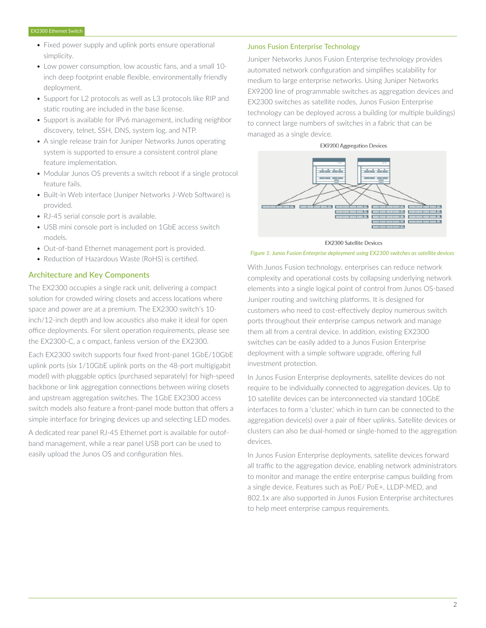- Fixed power supply and uplink ports ensure operational simplicity.
- Low power consumption, low acoustic fans, and a small 10 inch deep footprint enable flexible, environmentally friendly deployment.
- Support for L2 protocols as well as L3 protocols like RIP and static routing are included in the base license.
- Support is available for IPv6 management, including neighbor discovery, telnet, SSH, DNS, system log, and NTP.
- A single release train for Juniper Networks Junos operating system is supported to ensure a consistent control plane feature implementation.
- Modular Junos OS prevents a switch reboot if a single protocol feature fails.
- Built-in Web interface (Juniper Networks J-Web Software) is provided.
- RJ-45 serial console port is available.
- USB mini console port is included on 1GbE access switch models.
- Out-of-band Ethernet management port is provided.
- Reduction of Hazardous Waste (RoHS) is certified.

#### Architecture and Key Components

The EX2300 occupies a single rack unit, delivering a compact solution for crowded wiring closets and access locations where space and power are at a premium. The EX2300 switch's 10 inch/12-inch depth and low acoustics also make it ideal for open office deployments. For silent operation requirements, please see the EX2300-C, a c ompact, fanless version of the EX2300.

Each EX2300 switch supports four fixed front-panel 1GbE/10GbE uplink ports (six 1/10GbE uplink ports on the 48-port multigigabit model) with pluggable optics (purchased separately) for high-speed backbone or link aggregation connections between wiring closets and upstream aggregation switches. The 1GbE EX2300 access switch models also feature a front-panel mode button that offers a simple interface for bringing devices up and selecting LED modes.

A dedicated rear panel RJ-45 Ethernet port is available for outofband management, while a rear panel USB port can be used to easily upload the Junos OS and configuration files.

#### Junos Fusion Enterprise Technology

Juniper Networks Junos Fusion Enterprise technology provides automated network configuration and simplifies scalability for medium to large enterprise networks. Using Juniper Networks EX9200 line of programmable switches as aggregation devices and EX2300 switches as satellite nodes, Junos Fusion Enterprise technology can be deployed across a building (or multiple buildings) to connect large numbers of switches in a fabric that can be managed as a single device.





**EX2300 Satellite Devices** 

*Figure 1: Junos Fusion Enterprise deployment using EX2300 switches as satellite devices*

With Junos Fusion technology, enterprises can reduce network complexity and operational costs by collapsing underlying network elements into a single logical point of control from Junos OS-based Juniper routing and switching platforms. It is designed for customers who need to cost-effectively deploy numerous switch ports throughout their enterprise campus network and manage them all from a central device. In addition, existing EX2300 switches can be easily added to a Junos Fusion Enterprise deployment with a simple software upgrade, offering full investment protection.

In Junos Fusion Enterprise deployments, satellite devices do not require to be individually connected to aggregation devices. Up to 10 satellite devices can be interconnected via standard 10GbE interfaces to form a 'cluster,' which in turn can be connected to the aggregation device(s) over a pair of fiber uplinks. Satellite devices or clusters can also be dual-homed or single-homed to the aggregation devices.

In Junos Fusion Enterprise deployments, satellite devices forward all traffic to the aggregation device, enabling network administrators to monitor and manage the entire enterprise campus building from a single device. Features such as PoE/ PoE+, LLDP-MED, and 802.1x are also supported in Junos Fusion Enterprise architectures to help meet enterprise campus requirements.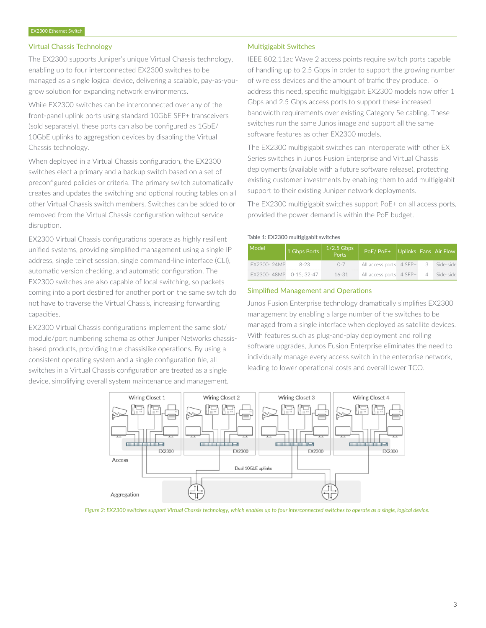#### Virtual Chassis Technology

The EX2300 supports Juniper's unique Virtual Chassis technology, enabling up to four interconnected EX2300 switches to be managed as a single logical device, delivering a scalable, pay-as-yougrow solution for expanding network environments.

While EX2300 switches can be interconnected over any of the front-panel uplink ports using standard 10GbE SFP+ transceivers (sold separately), these ports can also be configured as 1GbE/ 10GbE uplinks to aggregation devices by disabling the Virtual Chassis technology.

When deployed in a Virtual Chassis configuration, the EX2300 switches elect a primary and a backup switch based on a set of preconfigured policies or criteria. The primary switch automatically creates and updates the switching and optional routing tables on all other Virtual Chassis switch members. Switches can be added to or removed from the Virtual Chassis configuration without service disruption.

EX2300 Virtual Chassis configurations operate as highly resilient unified systems, providing simplified management using a single IP address, single telnet session, single command-line interface (CLI), automatic version checking, and automatic configuration. The EX2300 switches are also capable of local switching, so packets coming into a port destined for another port on the same switch do not have to traverse the Virtual Chassis, increasing forwarding capacities.

EX2300 Virtual Chassis configurations implement the same slot/ module/port numbering schema as other Juniper Networks chassisbased products, providing true chassislike operations. By using a consistent operating system and a single configuration file, all switches in a Virtual Chassis configuration are treated as a single device, simplifying overall system maintenance and management.

#### Multigigabit Switches

IEEE 802.11ac Wave 2 access points require switch ports capable of handling up to 2.5 Gbps in order to support the growing number of wireless devices and the amount of traffic they produce. To address this need, specific multigigabit EX2300 models now offer 1 Gbps and 2.5 Gbps access ports to support these increased bandwidth requirements over existing Category 5e cabling. These switches run the same Junos image and support all the same software features as other EX2300 models.

The EX2300 multigigabit switches can interoperate with other EX Series switches in Junos Fusion Enterprise and Virtual Chassis deployments (available with a future software release), protecting existing customer investments by enabling them to add multigigabit support to their existing Juniper network deployments.

The EX2300 multigigabit switches support PoE+ on all access ports, provided the power demand is within the PoE budget.

#### Table 1: EX2300 multigigabit switches

| Model <sup>1</sup>     | 1 Gbps Ports | $1/2.5$ Gbps<br>Ports | PoE/PoE+ Uplinks   Fans   Air Flow |  |           |
|------------------------|--------------|-----------------------|------------------------------------|--|-----------|
| FX2300-24MP            | $8-23$       | $0 - 7$               | All access ports 4 SFP+            |  | Side-side |
| EX2300-48MP 0-15:32-47 |              | $16 - 31$             | All access ports 4 SFP+            |  | Side-side |

#### Simplified Management and Operations

Junos Fusion Enterprise technology dramatically simplifies EX2300 management by enabling a large number of the switches to be managed from a single interface when deployed as satellite devices. With features such as plug-and-play deployment and rolling software upgrades, Junos Fusion Enterprise eliminates the need to individually manage every access switch in the enterprise network, leading to lower operational costs and overall lower TCO.



*Figure 2: EX2300 switches support Virtual Chassis technology, which enables up to four interconnected switches to operate as a single, logical device.*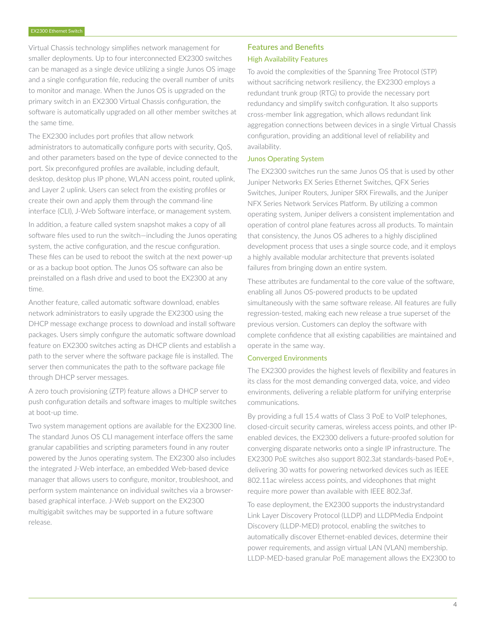Virtual Chassis technology simplifies network management for smaller deployments. Up to four interconnected EX2300 switches can be managed as a single device utilizing a single Junos OS image and a single configuration file, reducing the overall number of units to monitor and manage. When the Junos OS is upgraded on the primary switch in an EX2300 Virtual Chassis configuration, the software is automatically upgraded on all other member switches at the same time.

The EX2300 includes port profiles that allow network administrators to automatically configure ports with security, QoS, and other parameters based on the type of device connected to the port. Six preconfigured profiles are available, including default, desktop, desktop plus IP phone, WLAN access point, routed uplink, and Layer 2 uplink. Users can select from the existing profiles or create their own and apply them through the command-line interface (CLI), J-Web Software interface, or management system.

In addition, a feature called system snapshot makes a copy of all software files used to run the switch—including the Junos operating system, the active configuration, and the rescue configuration. These files can be used to reboot the switch at the next power-up or as a backup boot option. The Junos OS software can also be preinstalled on a flash drive and used to boot the EX2300 at any time.

Another feature, called automatic software download, enables network administrators to easily upgrade the EX2300 using the DHCP message exchange process to download and install software packages. Users simply configure the automatic software download feature on EX2300 switches acting as DHCP clients and establish a path to the server where the software package file is installed. The server then communicates the path to the software package file through DHCP server messages.

A zero touch provisioning (ZTP) feature allows a DHCP server to push configuration details and software images to multiple switches at boot-up time.

Two system management options are available for the EX2300 line. The standard Junos OS CLI management interface offers the same granular capabilities and scripting parameters found in any router powered by the Junos operating system. The EX2300 also includes the integrated J-Web interface, an embedded Web-based device manager that allows users to configure, monitor, troubleshoot, and perform system maintenance on individual switches via a browserbased graphical interface. J-Web support on the EX2300 multigigabit switches may be supported in a future software release.

# Features and Benefits High Availability Features

To avoid the complexities of the Spanning Tree Protocol (STP) without sacrificing network resiliency, the EX2300 employs a redundant trunk group (RTG) to provide the necessary port redundancy and simplify switch configuration. It also supports cross-member link aggregation, which allows redundant link aggregation connections between devices in a single Virtual Chassis configuration, providing an additional level of reliability and availability.

#### Junos Operating System

The EX2300 switches run the same Junos OS that is used by other Juniper Networks EX Series Ethernet Switches, QFX Series Switches, Juniper Routers, Juniper SRX Firewalls, and the Juniper NFX Series Network Services Platform. By utilizing a common operating system, Juniper delivers a consistent implementation and operation of control plane features across all products. To maintain that consistency, the Junos OS adheres to a highly disciplined development process that uses a single source code, and it employs a highly available modular architecture that prevents isolated failures from bringing down an entire system.

These attributes are fundamental to the core value of the software, enabling all Junos OS-powered products to be updated simultaneously with the same software release. All features are fully regression-tested, making each new release a true superset of the previous version. Customers can deploy the software with complete confidence that all existing capabilities are maintained and operate in the same way.

#### Converged Environments

The EX2300 provides the highest levels of flexibility and features in its class for the most demanding converged data, voice, and video environments, delivering a reliable platform for unifying enterprise communications.

By providing a full 15.4 watts of Class 3 PoE to VoIP telephones, closed-circuit security cameras, wireless access points, and other IPenabled devices, the EX2300 delivers a future-proofed solution for converging disparate networks onto a single IP infrastructure. The EX2300 PoE switches also support 802.3at standards-based PoE+, delivering 30 watts for powering networked devices such as IEEE 802.11ac wireless access points, and videophones that might require more power than available with IEEE 802.3af.

To ease deployment, the EX2300 supports the industrystandard Link Layer Discovery Protocol (LLDP) and LLDPMedia Endpoint Discovery (LLDP-MED) protocol, enabling the switches to automatically discover Ethernet-enabled devices, determine their power requirements, and assign virtual LAN (VLAN) membership. LLDP-MED-based granular PoE management allows the EX2300 to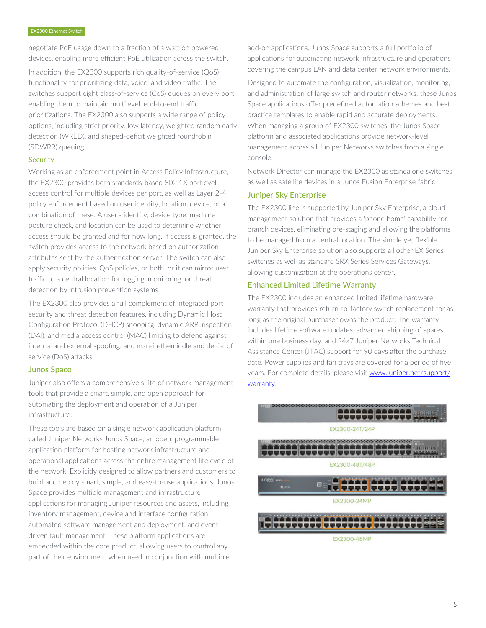negotiate PoE usage down to a fraction of a watt on powered devices, enabling more efficient PoE utilization across the switch.

In addition, the EX2300 supports rich quality-of-service (QoS) functionality for prioritizing data, voice, and video traffic. The switches support eight class-of-service (CoS) queues on every port, enabling them to maintain multilevel, end-to-end traffic prioritizations. The EX2300 also supports a wide range of policy options, including strict priority, low latency, weighted random early detection (WRED), and shaped-deficit weighted roundrobin (SDWRR) queuing.

#### **Security**

Working as an enforcement point in Access Policy Infrastructure, the EX2300 provides both standards-based 802.1X portlevel access control for multiple devices per port, as well as Layer 2-4 policy enforcement based on user identity, location, device, or a combination of these. A user's identity, device type, machine posture check, and location can be used to determine whether access should be granted and for how long. If access is granted, the switch provides access to the network based on authorization attributes sent by the authentication server. The switch can also apply security policies, QoS policies, or both, or it can mirror user traffic to a central location for logging, monitoring, or threat detection by intrusion prevention systems.

The EX2300 also provides a full complement of integrated port security and threat detection features, including Dynamic Host Configuration Protocol (DHCP) snooping, dynamic ARP inspection (DAI), and media access control (MAC) limiting to defend against internal and external spoofing, and man-in-themiddle and denial of service (DoS) attacks.

#### Junos Space

Juniper also offers a comprehensive suite of network management tools that provide a smart, simple, and open approach for automating the deployment and operation of a Juniper infrastructure.

These tools are based on a single network application platform called Juniper Networks Junos Space, an open, programmable application platform for hosting network infrastructure and operational applications across the entire management life cycle of the network. Explicitly designed to allow partners and customers to build and deploy smart, simple, and easy-to-use applications, Junos Space provides multiple management and infrastructure applications for managing Juniper resources and assets, including inventory management, device and interface configuration, automated software management and deployment, and eventdriven fault management. These platform applications are embedded within the core product, allowing users to control any part of their environment when used in conjunction with multiple

add-on applications. Junos Space supports a full portfolio of applications for automating network infrastructure and operations covering the campus LAN and data center network environments.

Designed to automate the configuration, visualization, monitoring, and administration of large switch and router networks, these Junos Space applications offer predefined automation schemes and best practice templates to enable rapid and accurate deployments. When managing a group of EX2300 switches, the Junos Space platform and associated applications provide network-level management across all Juniper Networks switches from a single console.

Network Director can manage the EX2300 as standalone switches as well as satellite devices in a Junos Fusion Enterprise fabric

# Juniper Sky Enterprise

The EX2300 line is supported by Juniper Sky Enterprise, a cloud management solution that provides a 'phone home' capability for branch devices, eliminating pre-staging and allowing the platforms to be managed from a central location. The simple yet flexible Juniper Sky Enterprise solution also supports all other EX Series switches as well as standard SRX Series Services Gateways, allowing customization at the operations center.

### Enhanced Limited Lifetime Warranty

The EX2300 includes an enhanced limited lifetime hardware warranty that provides return-to-factory switch replacement for as long as the original purchaser owns the product. The warranty includes lifetime software updates, advanced shipping of spares within one business day, and 24x7 Juniper Networks Technical Assistance Center (JTAC) support for 90 days after the purchase date. Power supplies and fan trays are covered for a period of five years. For complete details, please visit [www.juniper.net/support/](http://www.juniper.net/support/warranty) [warranty.](http://www.juniper.net/support/warranty)

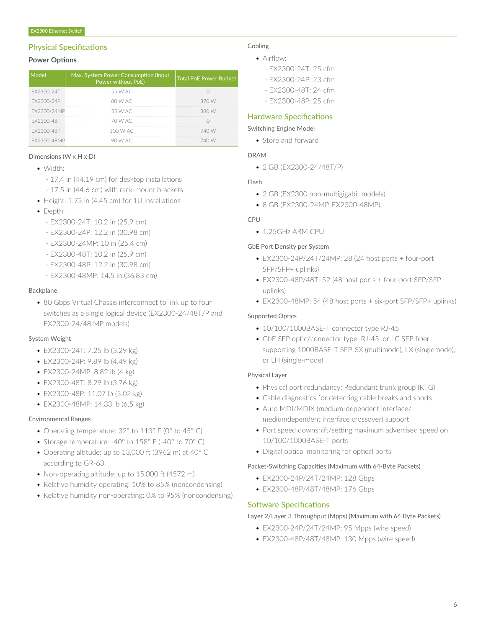# Physical Specifications

#### **Power Options**

| Model       | Max. System Power Consumption (Input<br>Power without PoE) | Total PoE Power Budget |
|-------------|------------------------------------------------------------|------------------------|
| FX2300-24T  | 55 W AC                                                    |                        |
| FX2300-24P  | 80 W AC                                                    | 370 W                  |
| FX2300-24MP | 55 W AC                                                    | 380 W                  |
| FX2300-48T  | 70 W AC                                                    |                        |
| FX2300-48P  | 100 W AC                                                   | 740 W                  |
| FX2300-48MP | 90 W AC                                                    | 740 W                  |

#### Dimensions (W x H x D)

- Width:
	- 17.4 in (44.19 cm) for desktop installations
	- 17.5 in (44.6 cm) with rack-mount brackets
- Height: 1.75 in (4.45 cm) for 1U installations
- Depth:
	- EX2300-24T: 10.2 in (25.9 cm)
	- EX2300-24P: 12.2 in (30.98 cm)
	- EX2300-24MP: 10 in (25.4 cm)
	- EX2300-48T: 10.2 in (25.9 cm)
	- EX2300-48P: 12.2 in (30.98 cm)
	- EX2300-48MP: 14.5 in (36.83 cm)

#### Backplane

• 80 Gbps Virtual Chassis interconnect to link up to four switches as a single logical device (EX2300-24/48T/P and EX2300-24/48 MP models)

#### System Weight

- EX2300-24T: 7.25 lb (3.29 kg)
- EX2300-24P: 9.89 lb (4.49 kg)
- EX2300-24MP: 8.82 lb (4 kg)
- EX2300-48T: 8.29 lb (3.76 kg)
- EX2300-48P: 11.07 lb (5.02 kg)
- EX2300-48MP: 14.33 lb (6.5 kg)

#### Environmental Ranges

- Operating temperature: 32° to 113° F (0° to 45° C)
- Storage temperature: -40° to 158° F (-40° to 70° C)
- Operating altitude: up to 13,000 ft (3962 m) at 40° C according to GR-63
- Non-operating altitude: up to 15,000 ft (4572 m)
- Relative humidity operating: 10% to 85% (noncondensing)
- Relative humidity non-operating: 0% to 95% (noncondensing)

#### Cooling

#### • Airflow:

- EX2300-24T: 25 cfm
- EX2300-24P: 23 cfm
- EX2300-48T: 24 cfm
- EX2300-48P: 25 cfm

# Hardware Specifications

#### Switching Engine Model

• Store and forward

### DRAM

• 2 GB (EX2300-24/48T/P)

#### Flash

- 2 GB (EX2300 non-multigigabit models)
- 8 GB (EX2300-24MP, EX2300-48MP)

# CPU

• 1.25GHz ARM CPU

#### GbE Port Density per System

- EX2300-24P/24T/24MP: 28 (24 host ports + four-port SFP/SFP+ uplinks)
- EX2300-48P/48T: 52 (48 host ports + four-port SFP/SFP+ uplinks)
- EX2300-48MP: 54 (48 host ports + six-port SFP/SFP+ uplinks)

### Supported Optics

- 10/100/1000BASE-T connector type RJ-45
- GbE SFP optic/connector type: RJ-45, or LC SFP fiber supporting 1000BASE-T SFP, SX (multimode), LX (singlemode), or LH (single-mode)

#### Physical Layer

- Physical port redundancy: Redundant trunk group (RTG)
- Cable diagnostics for detecting cable breaks and shorts
- Auto MDI/MDIX (medium-dependent interface/ mediumdependent interface crossover) support
- Port speed downshift/setting maximum advertised speed on 10/100/1000BASE-T ports
- Digital optical monitoring for optical ports

#### Packet-Switching Capacities (Maximum with 64-Byte Packets)

- EX2300-24P/24T/24MP: 128 Gbps
- EX2300-48P/48T/48MP: 176 Gbps

#### Software Specifications

#### Layer 2/Layer 3 Throughput (Mpps) (Maximum with 64 Byte Packets)

- EX2300-24P/24T/24MP: 95 Mpps (wire speed)
- EX2300-48P/48T/48MP: 130 Mpps (wire speed)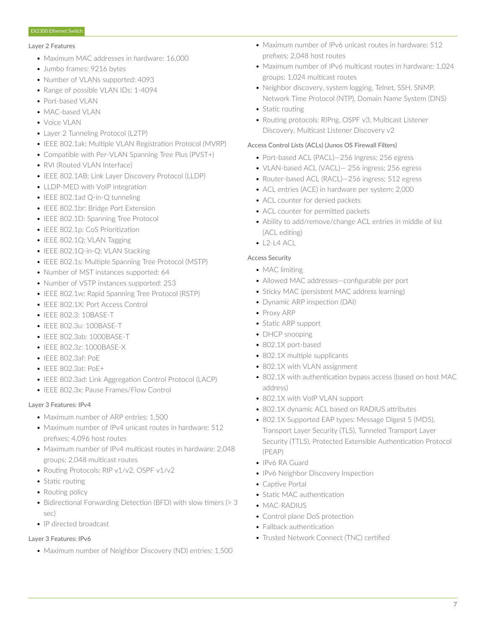#### Layer 2 Features

- Maximum MAC addresses in hardware: 16,000
- Jumbo frames: 9216 bytes
- Number of VLANs supported: 4093
- Range of possible VLAN IDs: 1-4094
- Port-based VLAN
- MAC-based VLAN
- Voice VLAN
- Layer 2 Tunneling Protocol (L2TP)
- IEEE 802.1ak: Multiple VLAN Registration Protocol (MVRP)
- Compatible with Per-VLAN Spanning Tree Plus (PVST+)
- RVI (Routed VLAN Interface)
- IEEE 802.1AB: Link Layer Discovery Protocol (LLDP)
- LLDP-MED with VoIP integration
- IEEE 802.1ad Q-in-Q tunneling
- IEEE 802.1br: Bridge Port Extension
- IEEE 802.1D: Spanning Tree Protocol
- IEEE 802.1p: CoS Prioritization
- IEEE 802.1Q: VLAN Tagging
- IEEE 802.1Q-in-Q: VLAN Stacking
- IEEE 802.1s: Multiple Spanning Tree Protocol (MSTP)
- Number of MST instances supported: 64
- Number of VSTP instances supported: 253
- IEEE 802.1w: Rapid Spanning Tree Protocol (RSTP)
- IFFF 802.1X: Port Access Control
- IEEE 802.3: 10BASE-T
- IEEE 802.3u: 100BASE-T
- IEEE 802.3ab: 1000BASE-T
- IEEE 802.3z: 1000BASE-X
- IEEE 802.3af: PoE
- IEEE 802.3at: PoE+
- IEEE 802.3ad: Link Aggregation Control Protocol (LACP)
- IEEE 802.3x: Pause Frames/Flow Control

#### Layer 3 Features: IPv4

- Maximum number of ARP entries: 1,500
- Maximum number of IPv4 unicast routes in hardware: 512 prefixes; 4,096 host routes
- Maximum number of IPv4 multicast routes in hardware: 2,048 groups; 2,048 multicast routes
- Routing Protocols: RIP v1/v2, OSPF v1/v2
- Static routing
- Routing policy
- Bidirectional Forwarding Detection (BFD) with slow timers (> 3 sec)
- IP directed broadcast

# Layer 3 Features: IPv6

• Maximum number of Neighbor Discovery (ND) entries: 1,500

- Maximum number of IPv6 unicast routes in hardware: 512 prefixes; 2,048 host routes
- Maximum number of IPv6 multicast routes in hardware: 1,024 groups; 1,024 multicast routes
- Neighbor discovery, system logging, Telnet, SSH, SNMP, Network Time Protocol (NTP), Domain Name System (DNS)
- Static routing
- Routing protocols: RIPng, OSPF v3, Multicast Listener Discovery, Multicast Listener Discovery v2

# Access Control Lists (ACLs) (Junos OS Firewall Filters)

- Port-based ACL (PACL)—256 ingress; 256 egress
- VLAN-based ACL (VACL)— 256 ingress; 256 egress
- Router-based ACL (RACL)—256 ingress; 512 egress
- ACL entries (ACE) in hardware per system: 2,000
- ACL counter for denied packets
- ACL counter for permitted packets
- Ability to add/remove/change ACL entries in middle of list (ACL editing)
- $\bullet$  L<sub>2</sub>-L<sub>4</sub> ACL

# Access Security

- MAC limiting
- Allowed MAC addresses—configurable per port
- Sticky MAC (persistent MAC address learning)
- Dynamic ARP inspection (DAI)
- Proxy ARP
- Static ARP support
- DHCP snooping
- 802.1X port-based
- 802.1X multiple supplicants
- 802.1X with VLAN assignment
- 802.1X with authentication bypass access (based on host MAC address)
- 802.1X with VoIP VLAN support
- 802.1X dynamic ACL based on RADIUS attributes
- 802.1X Supported EAP types: Message Digest 5 (MD5), Transport Layer Security (TLS), Tunneled Transport Layer Security (TTLS), Protected Extensible Authentication Protocol (PEAP)
- IPv6 RA Guard
- IPv6 Neighbor Discovery Inspection
- Captive Portal
- Static MAC authentication
- MAC-RADIUS
- Control plane DoS protection
- Fallback authentication
- Trusted Network Connect (TNC) certified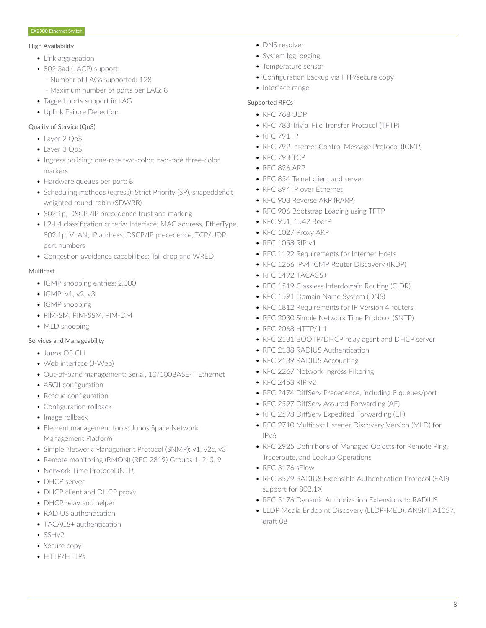#### High Availability

- Link aggregation
- 802.3ad (LACP) support:
	- Number of LAGs supported: 128
	- Maximum number of ports per LAG: 8
- Tagged ports support in LAG
- Uplink Failure Detection

# Quality of Service (QoS)

- Layer 2 QoS
- Layer 3 QoS
- Ingress policing: one-rate two-color; two-rate three-color markers
- Hardware queues per port: 8
- Scheduling methods (egress): Strict Priority (SP), shapeddeficit weighted round-robin (SDWRR)
- 802.1p, DSCP /IP precedence trust and marking
- L2-L4 classification criteria: Interface, MAC address, EtherType, 802.1p, VLAN, IP address, DSCP/IP precedence, TCP/UDP port numbers
- Congestion avoidance capabilities: Tail drop and WRED

#### **Multicast**

- IGMP snooping entries: 2,000
- IGMP: v1, v2, v3
- IGMP snooping
- PIM-SM, PIM-SSM, PIM-DM
- MLD snooping

# Services and Manageability

- Junos OS CLI
- Web interface (J-Web)
- Out-of-band management: Serial, 10/100BASE-T Ethernet
- ASCII configuration
- Rescue configuration
- Configuration rollback
- Image rollback
- Element management tools: Junos Space Network Management Platform
- Simple Network Management Protocol (SNMP): v1, v2c, v3
- Remote monitoring (RMON) (RFC 2819) Groups 1, 2, 3, 9
- Network Time Protocol (NTP)
- DHCP server
- DHCP client and DHCP proxy
- DHCP relay and helper
- RADIUS authentication
- TACACS+ authentication
- SSHv2
- Secure copy
- HTTP/HTTPs
- DNS resolver
- System log logging
- Temperature sensor
- Configuration backup via FTP/secure copy
- Interface range

# Supported RFCs

- RFC 768 UDP
- RFC 783 Trivial File Transfer Protocol (TFTP)
- RFC 791 IP
- RFC 792 Internet Control Message Protocol (ICMP)
- RFC 793 TCP
- RFC 826 ARP
- RFC 854 Telnet client and server
- RFC 894 IP over Ethernet
- RFC 903 Reverse ARP (RARP)
- RFC 906 Bootstrap Loading using TFTP
- RFC 951, 1542 BootP
- RFC 1027 Proxy ARP
- RFC 1058 RIP v1
- RFC 1122 Requirements for Internet Hosts
- RFC 1256 IPv4 ICMP Router Discovery (IRDP)
- RFC 1492 TACACS+
- RFC 1519 Classless Interdomain Routing (CIDR)
- RFC 1591 Domain Name System (DNS)
- RFC 1812 Requirements for IP Version 4 routers
- RFC 2030 Simple Network Time Protocol (SNTP)
- RFC 2068 HTTP/1.1
- RFC 2131 BOOTP/DHCP relay agent and DHCP server
- RFC 2138 RADIUS Authentication
- RFC 2139 RADIUS Accounting
- RFC 2267 Network Ingress Filtering
- RFC 2453 RIP v2
- RFC 2474 DiffServ Precedence, including 8 queues/port
- RFC 2597 DiffServ Assured Forwarding (AF)
- RFC 2598 DiffServ Expedited Forwarding (EF)
- RFC 2710 Multicast Listener Discovery Version (MLD) for IPv6
- RFC 2925 Definitions of Managed Objects for Remote Ping, Traceroute, and Lookup Operations
- RFC 3176 sFlow
- RFC 3579 RADIUS Extensible Authentication Protocol (EAP) support for 802.1X
- RFC 5176 Dynamic Authorization Extensions to RADIUS
- LLDP Media Endpoint Discovery (LLDP-MED), ANSI/TIA1057, draft 08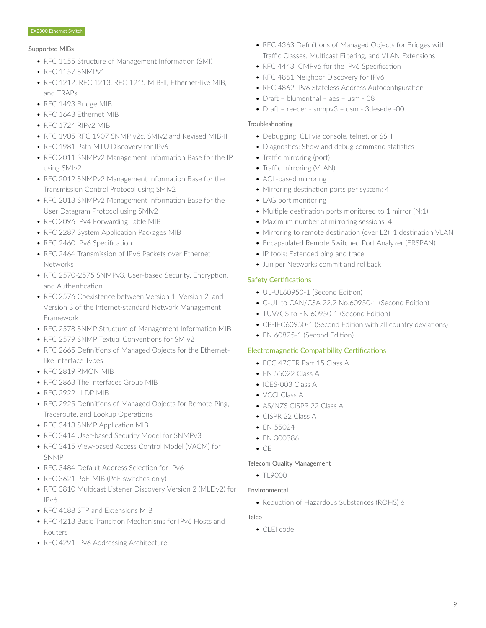#### Supported MIBs

- RFC 1155 Structure of Management Information (SMI)
- REC 1157 SNMP<sub>v1</sub>
- RFC 1212, RFC 1213, RFC 1215 MIB-II, Ethernet-like MIB, and TRAPs
- RFC 1493 Bridge MIB
- RFC 1643 Ethernet MIB
- RFC 1724 RIPv2 MIB
- RFC 1905 RFC 1907 SNMP v2c, SMIv2 and Revised MIB-II
- RFC 1981 Path MTU Discovery for IPv6
- RFC 2011 SNMPv2 Management Information Base for the IP using SMIv2
- RFC 2012 SNMPv2 Management Information Base for the Transmission Control Protocol using SMIv2
- RFC 2013 SNMPv2 Management Information Base for the User Datagram Protocol using SMIv2
- RFC 2096 IPv4 Forwarding Table MIB
- RFC 2287 System Application Packages MIB
- RFC 2460 IPv6 Specification
- RFC 2464 Transmission of IPv6 Packets over Ethernet Networks
- RFC 2570-2575 SNMPv3, User-based Security, Encryption, and Authentication
- RFC 2576 Coexistence between Version 1, Version 2, and Version 3 of the Internet-standard Network Management Framework
- RFC 2578 SNMP Structure of Management Information MIB
- RFC 2579 SNMP Textual Conventions for SMIv2
- RFC 2665 Definitions of Managed Objects for the Ethernetlike Interface Types
- RFC 2819 RMON MIB
- RFC 2863 The Interfaces Group MIB
- RFC 2922 LLDP MIB
- RFC 2925 Definitions of Managed Objects for Remote Ping, Traceroute, and Lookup Operations
- RFC 3413 SNMP Application MIB
- RFC 3414 User-based Security Model for SNMPv3
- RFC 3415 View-based Access Control Model (VACM) for SNMP
- RFC 3484 Default Address Selection for IPv6
- RFC 3621 PoE-MIB (PoE switches only)
- RFC 3810 Multicast Listener Discovery Version 2 (MLDv2) for IPv6
- RFC 4188 STP and Extensions MIB
- RFC 4213 Basic Transition Mechanisms for IPv6 Hosts and Routers
- RFC 4291 IPv6 Addressing Architecture
- RFC 4363 Definitions of Managed Objects for Bridges with Traffic Classes, Multicast Filtering, and VLAN Extensions
- RFC 4443 ICMPv6 for the IPv6 Specification
- RFC 4861 Neighbor Discovery for IPv6
- RFC 4862 IPv6 Stateless Address Autoconfiguration
- Draft blumenthal aes usm 08
- Draft reeder snmpv3 usm 3desede -00

#### Troubleshooting

- Debugging: CLI via console, telnet, or SSH
- Diagnostics: Show and debug command statistics
- Traffic mirroring (port)
- Traffic mirroring (VLAN)
- ACL-based mirroring
- Mirroring destination ports per system: 4
- LAG port monitoring
- Multiple destination ports monitored to 1 mirror (N:1)
- Maximum number of mirroring sessions: 4
- Mirroring to remote destination (over L2): 1 destination VLAN
- Encapsulated Remote Switched Port Analyzer (ERSPAN)
- IP tools: Extended ping and trace
- Juniper Networks commit and rollback

# Safety Certifications

- UL-UL60950-1 (Second Edition)
- C-UL to CAN/CSA 22.2 No.60950-1 (Second Edition)
- TUV/GS to EN 60950-1 (Second Edition)
- CB-IEC60950-1 (Second Edition with all country deviations)
- EN 60825-1 (Second Edition)

# Electromagnetic Compatibility Certifications

- FCC 47CFR Part 15 Class A
- EN 55022 Class A
- ICES-003 Class A
- VCCI Class A
- AS/NZS CISPR 22 Class A
- CISPR 22 Class A
- EN 55024
- EN 300386
- CE

#### Telecom Quality Management

• TL9000

#### Environmental

• Reduction of Hazardous Substances (ROHS) 6

#### **Telco**

• CLEI code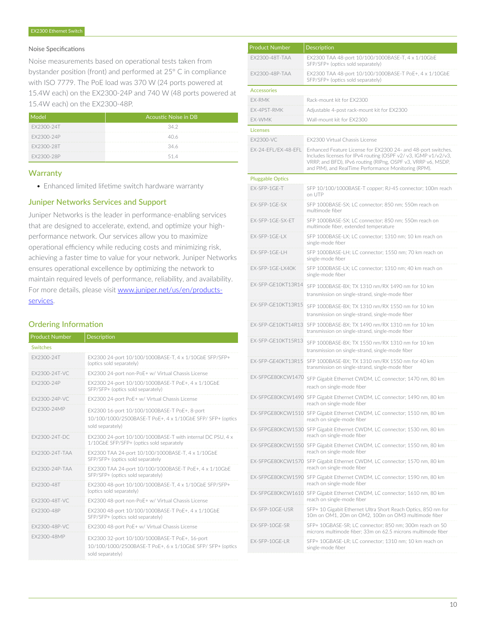#### Noise Specifications

Noise measurements based on operational tests taken from bystander position (front) and performed at 25° C in compliance with ISO 7779. The PoE load was 370 W (24 ports powered at 15.4W each) on the EX2300-24P and 740 W (48 ports powered at 15.4W each) on the EX2300-48P.

| ndel       | Acoustic Noise in DB |
|------------|----------------------|
| FX2300-24T | 34.2                 |
| EX2300-24P | 40 K                 |
| FX2300-28T | 34 K                 |
| FX2300-28P | 514                  |

#### **Warranty**

• Enhanced limited lifetime switch hardware warranty

#### Juniper Networks Services and Support

Juniper Networks is the leader in performance-enabling services that are designed to accelerate, extend, and optimize your highperformance network. Our services allow you to maximize operational efficiency while reducing costs and minimizing risk, achieving a faster time to value for your network. Juniper Networks ensures operational excellence by optimizing the network to maintain required levels of performance, reliability, and availability. For more details, please visit [www.juniper.net/us/en/products](https://www.juniper.net/us/en/products-services/)[services.](https://www.juniper.net/us/en/products-services/)

# Ordering Information

| <b>Product Number</b> | <b>Description</b>                                                                                                               |
|-----------------------|----------------------------------------------------------------------------------------------------------------------------------|
| <b>Switches</b>       |                                                                                                                                  |
| FX2300-24T            | EX2300 24-port 10/100/1000BASE-T, 4 x 1/10GbE SFP/SFP+<br>(optics sold separately)                                               |
| FX2300-24T-VC         | EX2300 24-port non-PoE+ w/ Virtual Chassis License                                                                               |
| FX2300-24P            | EX2300 24-port 10/100/1000BASE-T PoE+, 4 x 1/10GbE<br>SFP/SFP+ (optics sold separately)                                          |
| FX2300-24P-VC         | EX2300 24-port PoE+ w/ Virtual Chassis License                                                                                   |
| FX2300-24MP           | EX2300 16-port 10/100/1000BASE-T PoE+, 8-port<br>10/100/1000/2500BASE-T PoE+, 4 x 1/10GbE SFP/ SFP+ (optics<br>sold separately)  |
| FX2300-24T-DC         | EX2300 24-port 10/100/1000BASE-T with internal DC PSU, 4 x<br>1/10GbE SFP/SFP+ (optics sold separately                           |
| FX2300-24T-TAA        | EX2300 TAA 24-port 10/100/1000BASE-T, 4 x 1/10GbE<br>SFP/SFP+ (optics sold separately                                            |
| FX2300-24P-TAA        | EX2300 TAA 24-port 10/100/1000BASE-T PoE+, 4 x 1/10GbE<br>SFP/SFP+ (optics sold separately)                                      |
| FX2300-48T            | EX2300 48-port 10/100/1000BASE-T, 4 x 1/10GbE SFP/SFP+<br>(optics sold separately)                                               |
| FX2300-48T-VC         | EX2300 48-port non-PoE+ w/ Virtual Chassis License                                                                               |
| FX2300-48P            | EX2300 48-port 10/100/1000BASE-T PoE+, 4 x 1/10GbE<br>SFP/SFP+ (optics sold separately)                                          |
| FX2300-48P-VC         | EX2300 48-port PoE+ w/ Virtual Chassis License                                                                                   |
| FX2300-48MP           | EX2300 32-port 10/100/1000BASE-T PoE+, 16-port<br>10/100/1000/2500BASE-T PoE+, 6 x 1/10GbE SFP/ SFP+ (optics<br>sold separately) |

| <b>Product Number</b>   | <b>Description</b>                                                                                                                                                                                                                                      |
|-------------------------|---------------------------------------------------------------------------------------------------------------------------------------------------------------------------------------------------------------------------------------------------------|
| EX2300-48T-TAA          | EX2300 TAA 48-port 10/100/1000BASE-T, 4 x 1/10GbE<br>SFP/SFP+ (optics sold separately)                                                                                                                                                                  |
| EX2300-48P-TAA          | EX2300 TAA 48-port 10/100/1000BASE-T PoE+, 4 x 1/10GbE<br>SFP/SFP+ (optics sold separately)                                                                                                                                                             |
| <b>Accessories</b>      |                                                                                                                                                                                                                                                         |
| EX-RMK                  | Rack-mount kit for EX2300                                                                                                                                                                                                                               |
| EX-4PST-RMK             | Adjustable 4-post rack-mount kit for EX2300                                                                                                                                                                                                             |
| EX-WMK                  | Wall-mount kit for EX2300                                                                                                                                                                                                                               |
| <b>Licenses</b>         |                                                                                                                                                                                                                                                         |
| EX2300-VC               | EX2300 Virtual Chassis License                                                                                                                                                                                                                          |
| EX-24-EFL/EX-48-EFL     | Enhanced Feature License for EX2300 24- and 48-port switches.<br>Includes licenses for IPv4 routing (OSPF v2/v3, IGMP v1/v2/v3,<br>VRRP, and BFD), IPv6 routing (RIPng, OSPF v3, VRRP v6, MSDP,<br>and PIM), and RealTime Performance Monitoring (RPM). |
| <b>Pluggable Optics</b> |                                                                                                                                                                                                                                                         |
| EX-SFP-1GE-T            | SFP 10/100/1000BASE-T copper; RJ-45 connector; 100m reach<br>on UTP                                                                                                                                                                                     |
| EX-SFP-1GE-SX           | SFP 1000BASE-SX; LC connector; 850 nm; 550m reach on<br>multimode fiber                                                                                                                                                                                 |
| EX-SFP-1GE-SX-ET        | SFP 1000BASE-SX; LC connector; 850 nm; 550m reach on<br>multimode fiber, extended temperature                                                                                                                                                           |
| EX-SFP-1GE-LX           | SFP 1000BASE-LX; LC connector; 1310 nm; 10 km reach on<br>single-mode fiber                                                                                                                                                                             |
| FX-SFP-1GF-LH           | SFP 1000BASE-LH; LC connector; 1550 nm; 70 km reach on<br>single-mode fiber                                                                                                                                                                             |
| EX-SFP-1GE-LX40K        | SFP 1000BASE-LX; LC connector; 1310 nm; 40 km reach on<br>single-mode fiber                                                                                                                                                                             |
| EX-SFP-GE10KT13R14      | SFP 1000BASE-BX; TX 1310 nm/RX 1490 nm for 10 km<br>transmission on single-strand, single-mode fiber                                                                                                                                                    |
| EX-SFP-GE10KT13R15      | SFP 1000BASE-BX; TX 1310 nm/RX 1550 nm for 10 km<br>transmission on single-strand, single-mode fiber                                                                                                                                                    |
| EX-SFP-GE10KT14R13      | SFP 1000BASE-BX; TX 1490 nm/RX 1310 nm for 10 km<br>transmission on single-strand, single-mode fiber                                                                                                                                                    |
| EX-SFP-GE10KT15R13      | SFP 1000BASE-BX; TX 1550 nm/RX 1310 nm for 10 km<br>transmission on single-strand, single-mode fiber                                                                                                                                                    |
| FX-SFP-GF40KT13R15      | SFP 1000BASE-BX: TX 1310 nm/RX 1550 nm for 40 km<br>transmission on single-strand, single-mode fiber                                                                                                                                                    |
| EX-SFPGE80KCW1470       | SFP Gigabit Ethernet CWDM, LC connector; 1470 nm, 80 km<br>reach on single-mode fiber                                                                                                                                                                   |
| EX-SFPGE80KCW1490       | SFP Gigabit Ethernet CWDM, LC connector; 1490 nm, 80 km<br>reach on single-mode fiber                                                                                                                                                                   |
| EX-SFPGE80KCW1510       | SFP Gigabit Ethernet CWDM, LC connector; 1510 nm, 80 km<br>reach on single-mode fiber                                                                                                                                                                   |
|                         | EX-SFPGE80KCW1530 SFP Gigabit Ethernet CWDM, LC connector; 1530 nm, 80 km<br>reach on single-mode fiber                                                                                                                                                 |
|                         | EX-SFPGE80KCW1550 SFP Gigabit Ethernet CWDM, LC connector; 1550 nm, 80 km<br>reach on single-mode fiber                                                                                                                                                 |
|                         | EX-SFPGE80KCW1570 SFP Gigabit Ethernet CWDM, LC connector; 1570 nm, 80 km<br>reach on single-mode fiber                                                                                                                                                 |
|                         | EX-SFPGE80KCW1590 SFP Gigabit Ethernet CWDM, LC connector; 1590 nm, 80 km<br>reach on single-mode fiber                                                                                                                                                 |
|                         | EX-SFPGE80KCW1610 SFP Gigabit Ethernet CWDM, LC connector; 1610 nm, 80 km<br>reach on single-mode fiber                                                                                                                                                 |
| EX-SFP-10GE-USR         | SFP+ 10 Gigabit Ethernet Ultra Short Reach Optics, 850 nm for<br>10m on OM1, 20m on OM2, 100m on OM3 multimode fiber                                                                                                                                    |
| EX-SFP-10GE-SR          | SFP+ 10GBASE-SR; LC connector; 850 nm; 300m reach on 50<br>microns multimode fiber; 33m on 62.5 microns multimode fiber                                                                                                                                 |
| EX-SFP-10GE-LR          | SFP+ 10GBASE-LR; LC connector; 1310 nm; 10 km reach on<br>single-mode fiber                                                                                                                                                                             |